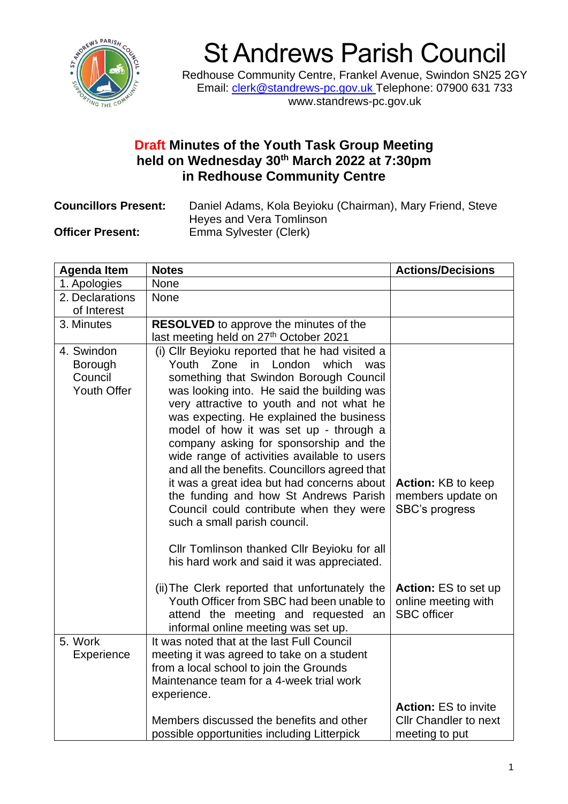

## St Andrews Parish Council

Redhouse Community Centre, Frankel Avenue, Swindon SN25 2GY Email: [clerk@standrews-pc.gov.uk](mailto:clerk@standrews-pc.gov.uk) Telephone: 07900 631 733 www.standrews-pc.gov.uk

## **Draft Minutes of the Youth Task Group Meeting held on Wednesday 30th March 2022 at 7:30pm in Redhouse Community Centre**

**Councillors Present:** Daniel Adams, Kola Beyioku (Chairman), Mary Friend, Steve Heyes and Vera Tomlinson **Officer Present:** Emma Sylvester (Clerk)

| <b>Agenda Item</b>                              | <b>Notes</b>                                                                                                                                                                                                                                                                                                                                                                                                                                                                                                                                                                                                                                                                                                                  | <b>Actions/Decisions</b>                                                |
|-------------------------------------------------|-------------------------------------------------------------------------------------------------------------------------------------------------------------------------------------------------------------------------------------------------------------------------------------------------------------------------------------------------------------------------------------------------------------------------------------------------------------------------------------------------------------------------------------------------------------------------------------------------------------------------------------------------------------------------------------------------------------------------------|-------------------------------------------------------------------------|
| 1. Apologies                                    | <b>None</b>                                                                                                                                                                                                                                                                                                                                                                                                                                                                                                                                                                                                                                                                                                                   |                                                                         |
| 2. Declarations                                 | <b>None</b>                                                                                                                                                                                                                                                                                                                                                                                                                                                                                                                                                                                                                                                                                                                   |                                                                         |
| of Interest                                     |                                                                                                                                                                                                                                                                                                                                                                                                                                                                                                                                                                                                                                                                                                                               |                                                                         |
| 3. Minutes                                      | RESOLVED to approve the minutes of the<br>last meeting held on 27th October 2021                                                                                                                                                                                                                                                                                                                                                                                                                                                                                                                                                                                                                                              |                                                                         |
| 4. Swindon<br>Borough<br>Council<br>Youth Offer | (i) Cllr Beyioku reported that he had visited a<br>Youth<br>Zone in London<br>which<br>was<br>something that Swindon Borough Council<br>was looking into. He said the building was<br>very attractive to youth and not what he<br>was expecting. He explained the business<br>model of how it was set up - through a<br>company asking for sponsorship and the<br>wide range of activities available to users<br>and all the benefits. Councillors agreed that<br>it was a great idea but had concerns about<br>the funding and how St Andrews Parish<br>Council could contribute when they were<br>such a small parish council.<br>Cllr Tomlinson thanked Cllr Beyioku for all<br>his hard work and said it was appreciated. | <b>Action: KB to keep</b><br>members update on<br><b>SBC's progress</b> |
|                                                 | (ii) The Clerk reported that unfortunately the<br>Youth Officer from SBC had been unable to<br>attend the meeting and requested an<br>informal online meeting was set up.                                                                                                                                                                                                                                                                                                                                                                                                                                                                                                                                                     | Action: ES to set up<br>online meeting with<br><b>SBC</b> officer       |
| 5. Work<br>Experience                           | It was noted that at the last Full Council<br>meeting it was agreed to take on a student<br>from a local school to join the Grounds<br>Maintenance team for a 4-week trial work<br>experience.                                                                                                                                                                                                                                                                                                                                                                                                                                                                                                                                | <b>Action: ES to invite</b>                                             |
|                                                 | Members discussed the benefits and other<br>possible opportunities including Litterpick                                                                                                                                                                                                                                                                                                                                                                                                                                                                                                                                                                                                                                       | <b>Cllr Chandler to next</b><br>meeting to put                          |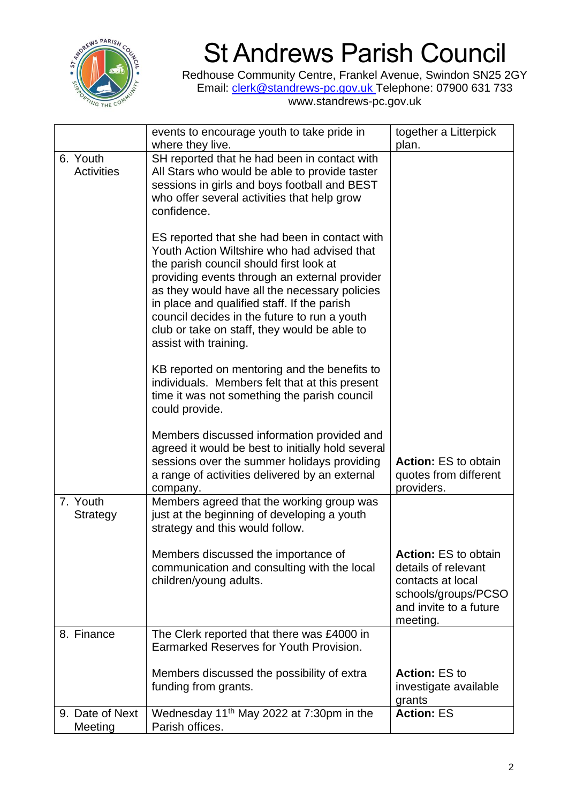

## St Andrews Parish Council

Redhouse Community Centre, Frankel Avenue, Swindon SN25 2GY Email: [clerk@standrews-pc.gov.uk](mailto:clerk@standrews-pc.gov.uk) Telephone: 07900 631 733 www.standrews-pc.gov.uk

|                               | events to encourage youth to take pride in<br>where they live.                                                                                                                                                                                                                                                                                                                                                    | together a Litterpick<br>plan.                                                                                                       |
|-------------------------------|-------------------------------------------------------------------------------------------------------------------------------------------------------------------------------------------------------------------------------------------------------------------------------------------------------------------------------------------------------------------------------------------------------------------|--------------------------------------------------------------------------------------------------------------------------------------|
| 6. Youth<br><b>Activities</b> | SH reported that he had been in contact with<br>All Stars who would be able to provide taster<br>sessions in girls and boys football and BEST<br>who offer several activities that help grow<br>confidence.                                                                                                                                                                                                       |                                                                                                                                      |
|                               | ES reported that she had been in contact with<br>Youth Action Wiltshire who had advised that<br>the parish council should first look at<br>providing events through an external provider<br>as they would have all the necessary policies<br>in place and qualified staff. If the parish<br>council decides in the future to run a youth<br>club or take on staff, they would be able to<br>assist with training. |                                                                                                                                      |
|                               | KB reported on mentoring and the benefits to<br>individuals. Members felt that at this present<br>time it was not something the parish council<br>could provide.                                                                                                                                                                                                                                                  |                                                                                                                                      |
|                               | Members discussed information provided and<br>agreed it would be best to initially hold several<br>sessions over the summer holidays providing<br>a range of activities delivered by an external<br>company.                                                                                                                                                                                                      | <b>Action: ES to obtain</b><br>quotes from different<br>providers.                                                                   |
| 7. Youth<br><b>Strategy</b>   | Members agreed that the working group was<br>just at the beginning of developing a youth<br>strategy and this would follow.                                                                                                                                                                                                                                                                                       |                                                                                                                                      |
|                               | Members discussed the importance of<br>communication and consulting with the local<br>children/young adults.                                                                                                                                                                                                                                                                                                      | <b>Action: ES to obtain</b><br>details of relevant<br>contacts at local<br>schools/groups/PCSO<br>and invite to a future<br>meeting. |
| 8. Finance                    | The Clerk reported that there was £4000 in<br>Earmarked Reserves for Youth Provision.                                                                                                                                                                                                                                                                                                                             |                                                                                                                                      |
|                               | Members discussed the possibility of extra<br>funding from grants.                                                                                                                                                                                                                                                                                                                                                | <b>Action: ES to</b><br>investigate available<br>grants                                                                              |
| 9. Date of Next<br>Meeting    | Wednesday 11 <sup>th</sup> May 2022 at 7:30pm in the<br>Parish offices.                                                                                                                                                                                                                                                                                                                                           | <b>Action: ES</b>                                                                                                                    |